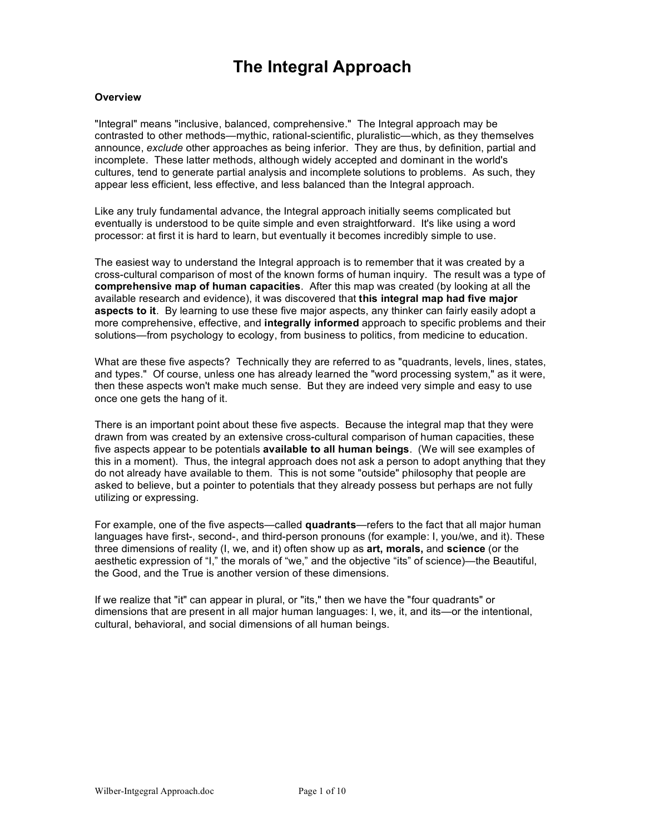# **The Integral Approach**

# **Overview**

"Integral" means "inclusive, balanced, comprehensive." The Integral approach may be contrasted to other methods—mythic, rational-scientific, pluralistic—which, as they themselves announce, *exclude* other approaches as being inferior. They are thus, by definition, partial and incomplete. These latter methods, although widely accepted and dominant in the world's cultures, tend to generate partial analysis and incomplete solutions to problems. As such, they appear less efficient, less effective, and less balanced than the Integral approach.

Like any truly fundamental advance, the Integral approach initially seems complicated but eventually is understood to be quite simple and even straightforward. It's like using a word processor: at first it is hard to learn, but eventually it becomes incredibly simple to use.

The easiest way to understand the Integral approach is to remember that it was created by a cross-cultural comparison of most of the known forms of human inquiry. The result was a type of **comprehensive map of human capacities**. After this map was created (by looking at all the available research and evidence), it was discovered that **this integral map had five major aspects to it**. By learning to use these five major aspects, any thinker can fairly easily adopt a more comprehensive, effective, and **integrally informed** approach to specific problems and their solutions—from psychology to ecology, from business to politics, from medicine to education.

What are these five aspects? Technically they are referred to as "quadrants, levels, lines, states, and types." Of course, unless one has already learned the "word processing system," as it were, then these aspects won't make much sense. But they are indeed very simple and easy to use once one gets the hang of it.

There is an important point about these five aspects. Because the integral map that they were drawn from was created by an extensive cross-cultural comparison of human capacities, these five aspects appear to be potentials **available to all human beings**. (We will see examples of this in a moment). Thus, the integral approach does not ask a person to adopt anything that they do not already have available to them. This is not some "outside" philosophy that people are asked to believe, but a pointer to potentials that they already possess but perhaps are not fully utilizing or expressing.

For example, one of the five aspects—called **quadrants**—refers to the fact that all major human languages have first-, second-, and third-person pronouns (for example: I, you/we, and it). These three dimensions of reality (I, we, and it) often show up as **art, morals,** and **science** (or the aesthetic expression of "I," the morals of "we," and the objective "its" of science)—the Beautiful, the Good, and the True is another version of these dimensions.

If we realize that "it" can appear in plural, or "its," then we have the "four quadrants" or dimensions that are present in all major human languages: I, we, it, and its—or the intentional, cultural, behavioral, and social dimensions of all human beings.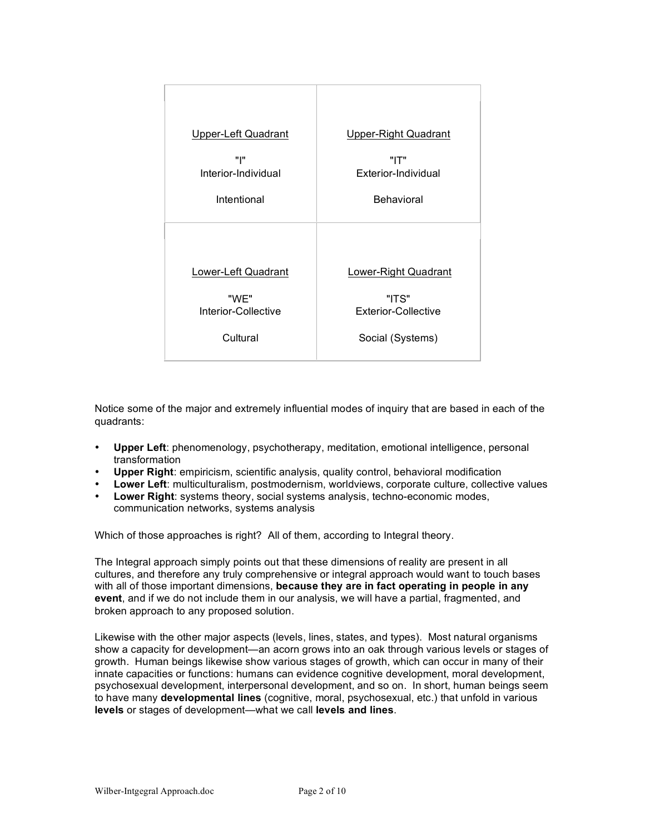| Upper-Left Quadrant        | Upper-Right Quadrant        |
|----------------------------|-----------------------------|
| "ו"                        | "IT"                        |
| Interior-Individual        | Exterior-Individual         |
| Intentional                | Behavioral                  |
| <b>Lower-Left Quadrant</b> | <b>Lower-Right Quadrant</b> |
| "WE"                       | "ITS"                       |
| Interior-Collective        | <b>Exterior-Collective</b>  |
| Cultural                   | Social (Systems)            |

Notice some of the major and extremely influential modes of inquiry that are based in each of the quadrants:

- **Upper Left**: phenomenology, psychotherapy, meditation, emotional intelligence, personal transformation
- **Upper Right**: empiricism, scientific analysis, quality control, behavioral modification
- **Lower Left**: multiculturalism, postmodernism, worldviews, corporate culture, collective values
- **Lower Right**: systems theory, social systems analysis, techno-economic modes, communication networks, systems analysis

Which of those approaches is right? All of them, according to Integral theory.

The Integral approach simply points out that these dimensions of reality are present in all cultures, and therefore any truly comprehensive or integral approach would want to touch bases with all of those important dimensions, **because they are in fact operating in people in any event**, and if we do not include them in our analysis, we will have a partial, fragmented, and broken approach to any proposed solution.

Likewise with the other major aspects (levels, lines, states, and types). Most natural organisms show a capacity for development—an acorn grows into an oak through various levels or stages of growth. Human beings likewise show various stages of growth, which can occur in many of their innate capacities or functions: humans can evidence cognitive development, moral development, psychosexual development, interpersonal development, and so on. In short, human beings seem to have many **developmental lines** (cognitive, moral, psychosexual, etc.) that unfold in various **levels** or stages of development—what we call **levels and lines**.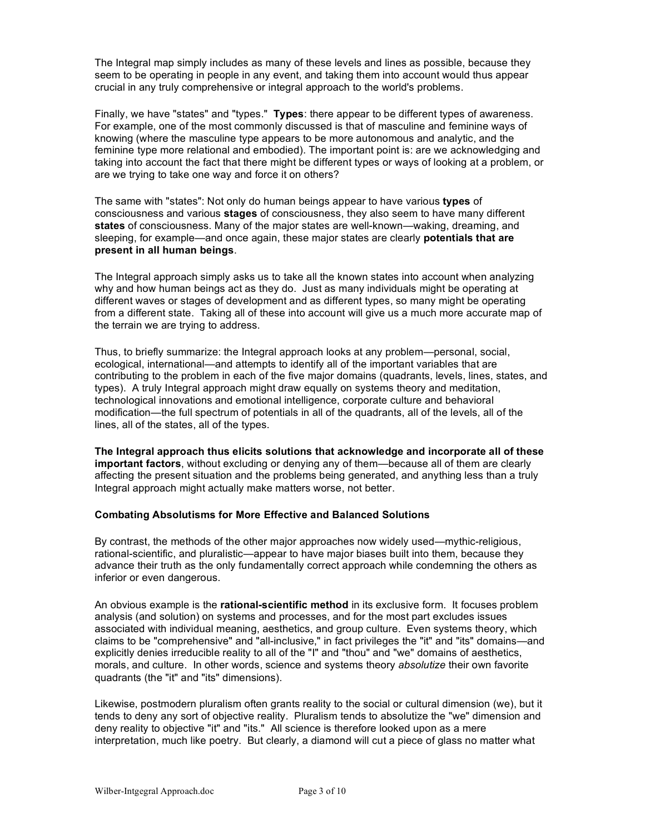The Integral map simply includes as many of these levels and lines as possible, because they seem to be operating in people in any event, and taking them into account would thus appear crucial in any truly comprehensive or integral approach to the world's problems.

Finally, we have "states" and "types." **Types**: there appear to be different types of awareness. For example, one of the most commonly discussed is that of masculine and feminine ways of knowing (where the masculine type appears to be more autonomous and analytic, and the feminine type more relational and embodied). The important point is: are we acknowledging and taking into account the fact that there might be different types or ways of looking at a problem, or are we trying to take one way and force it on others?

The same with "states": Not only do human beings appear to have various **types** of consciousness and various **stages** of consciousness, they also seem to have many different **states** of consciousness. Many of the major states are well-known—waking, dreaming, and sleeping, for example—and once again, these major states are clearly **potentials that are present in all human beings**.

The Integral approach simply asks us to take all the known states into account when analyzing why and how human beings act as they do. Just as many individuals might be operating at different waves or stages of development and as different types, so many might be operating from a different state. Taking all of these into account will give us a much more accurate map of the terrain we are trying to address.

Thus, to briefly summarize: the Integral approach looks at any problem—personal, social, ecological, international—and attempts to identify all of the important variables that are contributing to the problem in each of the five major domains (quadrants, levels, lines, states, and types). A truly Integral approach might draw equally on systems theory and meditation, technological innovations and emotional intelligence, corporate culture and behavioral modification—the full spectrum of potentials in all of the quadrants, all of the levels, all of the lines, all of the states, all of the types.

**The Integral approach thus elicits solutions that acknowledge and incorporate all of these important factors**, without excluding or denying any of them—because all of them are clearly affecting the present situation and the problems being generated, and anything less than a truly Integral approach might actually make matters worse, not better.

# **Combating Absolutisms for More Effective and Balanced Solutions**

By contrast, the methods of the other major approaches now widely used—mythic-religious, rational-scientific, and pluralistic—appear to have major biases built into them, because they advance their truth as the only fundamentally correct approach while condemning the others as inferior or even dangerous.

An obvious example is the **rational-scientific method** in its exclusive form. It focuses problem analysis (and solution) on systems and processes, and for the most part excludes issues associated with individual meaning, aesthetics, and group culture. Even systems theory, which claims to be "comprehensive" and "all-inclusive," in fact privileges the "it" and "its" domains—and explicitly denies irreducible reality to all of the "I" and "thou" and "we" domains of aesthetics, morals, and culture. In other words, science and systems theory *absolutize* their own favorite quadrants (the "it" and "its" dimensions).

Likewise, postmodern pluralism often grants reality to the social or cultural dimension (we), but it tends to deny any sort of objective reality. Pluralism tends to absolutize the "we" dimension and deny reality to objective "it" and "its." All science is therefore looked upon as a mere interpretation, much like poetry. But clearly, a diamond will cut a piece of glass no matter what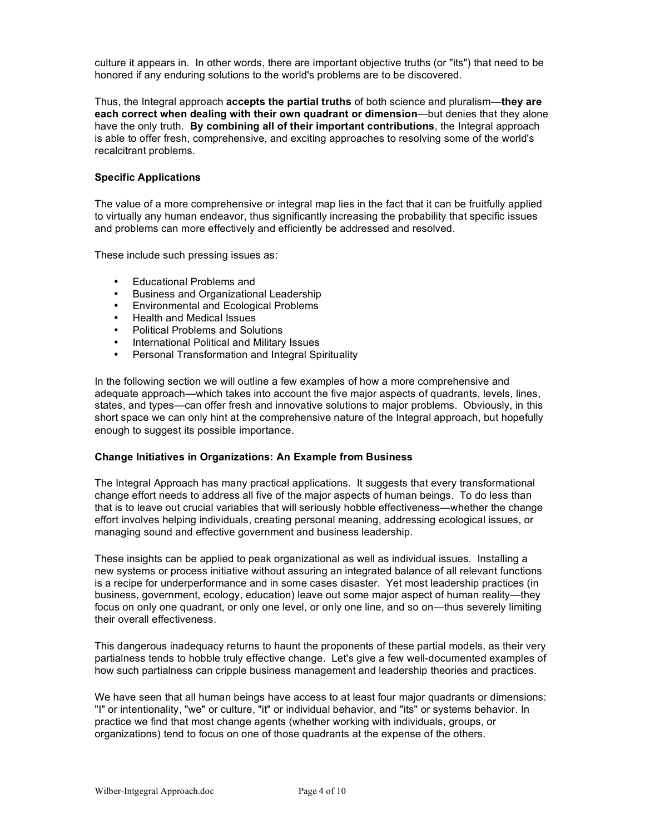culture it appears in. In other words, there are important objective truths (or "its") that need to be honored if any enduring solutions to the world's problems are to be discovered.

Thus, the Integral approach **accepts the partial truths** of both science and pluralism—**they are each correct when dealing with their own quadrant or dimension**—but denies that they alone have the only truth. **By combining all of their important contributions**, the Integral approach is able to offer fresh, comprehensive, and exciting approaches to resolving some of the world's recalcitrant problems.

# **Specific Applications**

The value of a more comprehensive or integral map lies in the fact that it can be fruitfully applied to virtually any human endeavor, thus significantly increasing the probability that specific issues and problems can more effectively and efficiently be addressed and resolved.

These include such pressing issues as:

- Educational Problems and
- Business and Organizational Leadership<br>• Environmental and Ecological Problems
- Environmental and Ecological Problems
- Health and Medical Issues
- Political Problems and Solutions
- International Political and Military Issues
- Personal Transformation and Integral Spirituality

In the following section we will outline a few examples of how a more comprehensive and adequate approach—which takes into account the five major aspects of quadrants, levels, lines, states, and types—can offer fresh and innovative solutions to major problems. Obviously, in this short space we can only hint at the comprehensive nature of the Integral approach, but hopefully enough to suggest its possible importance.

### **Change Initiatives in Organizations: An Example from Business**

The Integral Approach has many practical applications. It suggests that every transformational change effort needs to address all five of the major aspects of human beings. To do less than that is to leave out crucial variables that will seriously hobble effectiveness—whether the change effort involves helping individuals, creating personal meaning, addressing ecological issues, or managing sound and effective government and business leadership.

These insights can be applied to peak organizational as well as individual issues. Installing a new systems or process initiative without assuring an integrated balance of all relevant functions is a recipe for underperformance and in some cases disaster. Yet most leadership practices (in business, government, ecology, education) leave out some major aspect of human reality—they focus on only one quadrant, or only one level, or only one line, and so on—thus severely limiting their overall effectiveness.

This dangerous inadequacy returns to haunt the proponents of these partial models, as their very partialness tends to hobble truly effective change. Let's give a few well-documented examples of how such partialness can cripple business management and leadership theories and practices.

We have seen that all human beings have access to at least four major quadrants or dimensions: "I" or intentionality, "we" or culture, "it" or individual behavior, and "its" or systems behavior. In practice we find that most change agents (whether working with individuals, groups, or organizations) tend to focus on one of those quadrants at the expense of the others.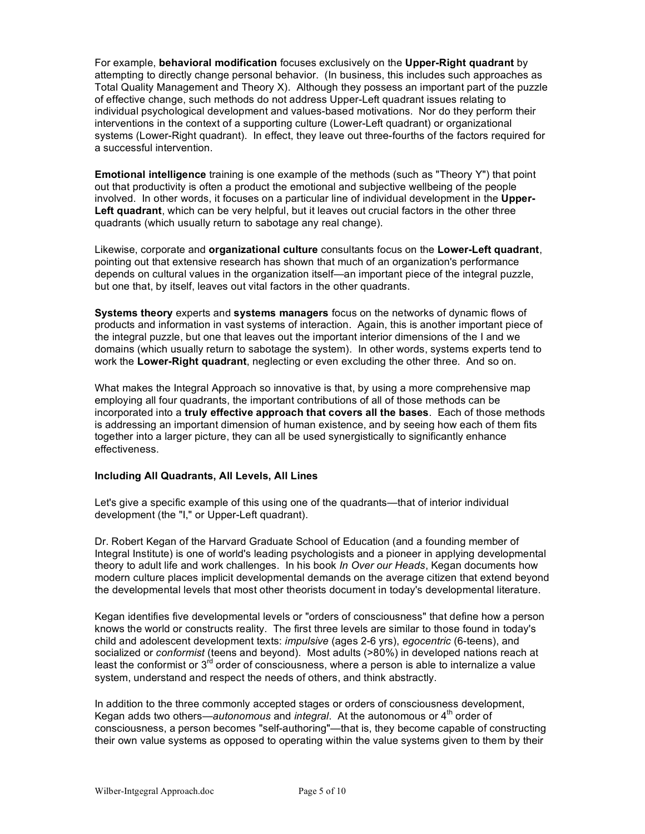For example, **behavioral modification** focuses exclusively on the **Upper-Right quadrant** by attempting to directly change personal behavior. (In business, this includes such approaches as Total Quality Management and Theory X). Although they possess an important part of the puzzle of effective change, such methods do not address Upper-Left quadrant issues relating to individual psychological development and values-based motivations. Nor do they perform their interventions in the context of a supporting culture (Lower-Left quadrant) or organizational systems (Lower-Right quadrant). In effect, they leave out three-fourths of the factors required for a successful intervention.

**Emotional intelligence** training is one example of the methods (such as "Theory Y") that point out that productivity is often a product the emotional and subjective wellbeing of the people involved. In other words, it focuses on a particular line of individual development in the **Upper-Left quadrant**, which can be very helpful, but it leaves out crucial factors in the other three quadrants (which usually return to sabotage any real change).

Likewise, corporate and **organizational culture** consultants focus on the **Lower-Left quadrant**, pointing out that extensive research has shown that much of an organization's performance depends on cultural values in the organization itself—an important piece of the integral puzzle, but one that, by itself, leaves out vital factors in the other quadrants.

**Systems theory** experts and **systems managers** focus on the networks of dynamic flows of products and information in vast systems of interaction. Again, this is another important piece of the integral puzzle, but one that leaves out the important interior dimensions of the I and we domains (which usually return to sabotage the system). In other words, systems experts tend to work the **Lower-Right quadrant**, neglecting or even excluding the other three. And so on.

What makes the Integral Approach so innovative is that, by using a more comprehensive map employing all four quadrants, the important contributions of all of those methods can be incorporated into a **truly effective approach that covers all the bases**. Each of those methods is addressing an important dimension of human existence, and by seeing how each of them fits together into a larger picture, they can all be used synergistically to significantly enhance effectiveness.

# **Including All Quadrants, All Levels, All Lines**

Let's give a specific example of this using one of the quadrants—that of interior individual development (the "I," or Upper-Left quadrant).

Dr. Robert Kegan of the Harvard Graduate School of Education (and a founding member of Integral Institute) is one of world's leading psychologists and a pioneer in applying developmental theory to adult life and work challenges. In his book *In Over our Heads*, Kegan documents how modern culture places implicit developmental demands on the average citizen that extend beyond the developmental levels that most other theorists document in today's developmental literature.

Kegan identifies five developmental levels or "orders of consciousness" that define how a person knows the world or constructs reality. The first three levels are similar to those found in today's child and adolescent development texts: *impulsive* (ages 2-6 yrs), *egocentric* (6-teens), and socialized or *conformist* (teens and beyond). Most adults (>80%) in developed nations reach at least the conformist or  $3^{rd}$  order of consciousness, where a person is able to internalize a value system, understand and respect the needs of others, and think abstractly.

In addition to the three commonly accepted stages or orders of consciousness development, Kegan adds two others—*autonomous* and *integral*. At the autonomous or 4<sup>th</sup> order of consciousness, a person becomes "self-authoring"—that is, they become capable of constructing their own value systems as opposed to operating within the value systems given to them by their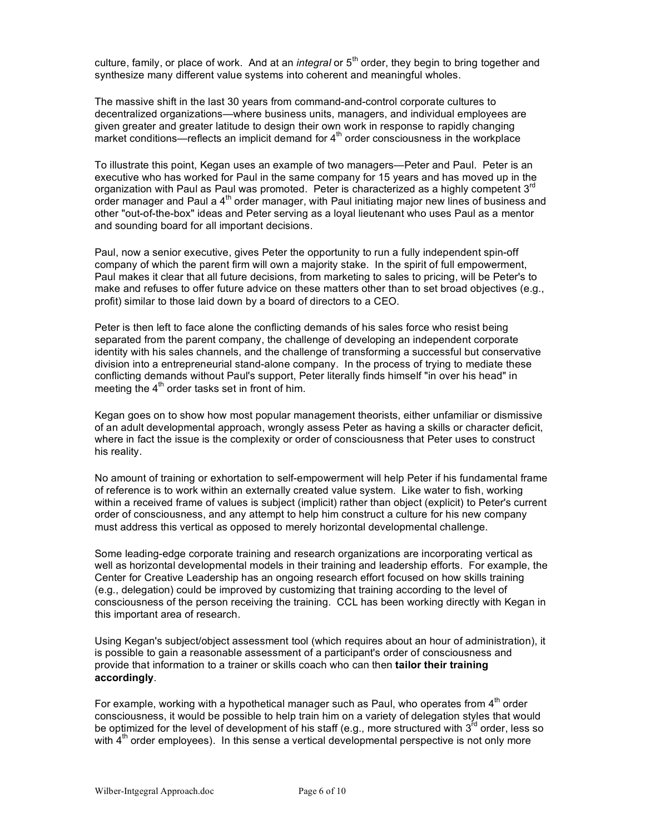culture, family, or place of work. And at an *integral* or 5<sup>th</sup> order, they begin to bring together and synthesize many different value systems into coherent and meaningful wholes.

The massive shift in the last 30 years from command-and-control corporate cultures to decentralized organizations—where business units, managers, and individual employees are given greater and greater latitude to design their own work in response to rapidly changing market conditions—reflects an implicit demand for  $4<sup>th</sup>$  order consciousness in the workplace

To illustrate this point, Kegan uses an example of two managers—Peter and Paul. Peter is an executive who has worked for Paul in the same company for 15 years and has moved up in the organization with Paul as Paul was promoted. Peter is characterized as a highly competent 3<sup>rd</sup> order manager and Paul a 4<sup>th</sup> order manager, with Paul initiating major new lines of business and other "out-of-the-box" ideas and Peter serving as a loyal lieutenant who uses Paul as a mentor and sounding board for all important decisions.

Paul, now a senior executive, gives Peter the opportunity to run a fully independent spin-off company of which the parent firm will own a majority stake. In the spirit of full empowerment, Paul makes it clear that all future decisions, from marketing to sales to pricing, will be Peter's to make and refuses to offer future advice on these matters other than to set broad objectives (e.g., profit) similar to those laid down by a board of directors to a CEO.

Peter is then left to face alone the conflicting demands of his sales force who resist being separated from the parent company, the challenge of developing an independent corporate identity with his sales channels, and the challenge of transforming a successful but conservative division into a entrepreneurial stand-alone company. In the process of trying to mediate these conflicting demands without Paul's support, Peter literally finds himself "in over his head" in meeting the  $4<sup>th</sup>$  order tasks set in front of him.

Kegan goes on to show how most popular management theorists, either unfamiliar or dismissive of an adult developmental approach, wrongly assess Peter as having a skills or character deficit, where in fact the issue is the complexity or order of consciousness that Peter uses to construct his reality.

No amount of training or exhortation to self-empowerment will help Peter if his fundamental frame of reference is to work within an externally created value system. Like water to fish, working within a received frame of values is subject (implicit) rather than object (explicit) to Peter's current order of consciousness, and any attempt to help him construct a culture for his new company must address this vertical as opposed to merely horizontal developmental challenge.

Some leading-edge corporate training and research organizations are incorporating vertical as well as horizontal developmental models in their training and leadership efforts. For example, the Center for Creative Leadership has an ongoing research effort focused on how skills training (e.g., delegation) could be improved by customizing that training according to the level of consciousness of the person receiving the training. CCL has been working directly with Kegan in this important area of research.

Using Kegan's subject/object assessment tool (which requires about an hour of administration), it is possible to gain a reasonable assessment of a participant's order of consciousness and provide that information to a trainer or skills coach who can then **tailor their training accordingly**.

For example, working with a hypothetical manager such as Paul, who operates from  $4<sup>th</sup>$  order consciousness, it would be possible to help train him on a variety of delegation styles that would be optimized for the level of development of his staff (e.g., more structured with  $3<sup>rd</sup>$  order, less so with  $4<sup>th</sup>$  order employees). In this sense a vertical developmental perspective is not only more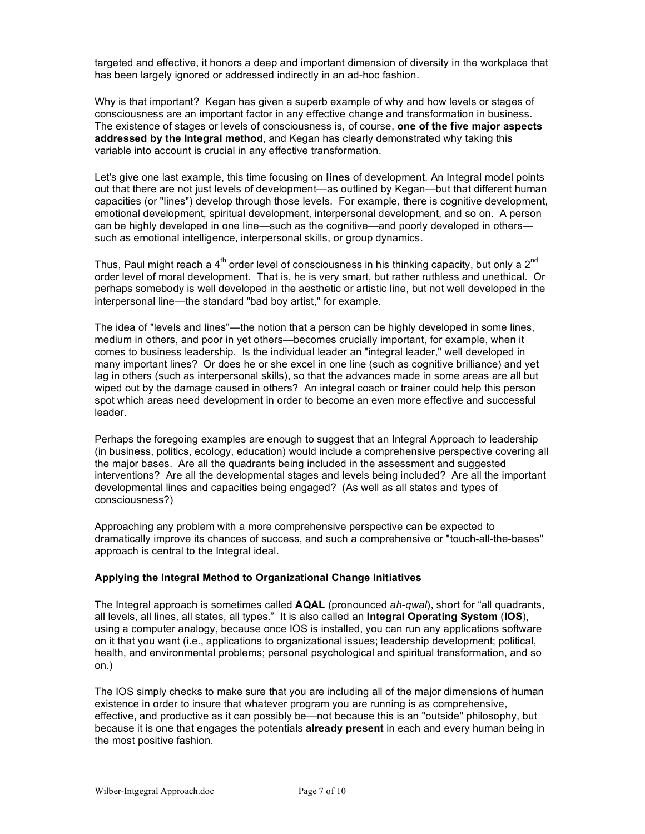targeted and effective, it honors a deep and important dimension of diversity in the workplace that has been largely ignored or addressed indirectly in an ad-hoc fashion.

Why is that important? Kegan has given a superb example of why and how levels or stages of consciousness are an important factor in any effective change and transformation in business. The existence of stages or levels of consciousness is, of course, **one of the five major aspects addressed by the Integral method**, and Kegan has clearly demonstrated why taking this variable into account is crucial in any effective transformation.

Let's give one last example, this time focusing on **lines** of development. An Integral model points out that there are not just levels of development—as outlined by Kegan—but that different human capacities (or "lines") develop through those levels. For example, there is cognitive development, emotional development, spiritual development, interpersonal development, and so on. A person can be highly developed in one line—such as the cognitive—and poorly developed in others such as emotional intelligence, interpersonal skills, or group dynamics.

Thus, Paul might reach a 4<sup>th</sup> order level of consciousness in his thinking capacity, but only a 2<sup>nd</sup> order level of moral development. That is, he is very smart, but rather ruthless and unethical. Or perhaps somebody is well developed in the aesthetic or artistic line, but not well developed in the interpersonal line—the standard "bad boy artist," for example.

The idea of "levels and lines"—the notion that a person can be highly developed in some lines, medium in others, and poor in yet others—becomes crucially important, for example, when it comes to business leadership. Is the individual leader an "integral leader," well developed in many important lines? Or does he or she excel in one line (such as cognitive brilliance) and yet lag in others (such as interpersonal skills), so that the advances made in some areas are all but wiped out by the damage caused in others? An integral coach or trainer could help this person spot which areas need development in order to become an even more effective and successful leader.

Perhaps the foregoing examples are enough to suggest that an Integral Approach to leadership (in business, politics, ecology, education) would include a comprehensive perspective covering all the major bases. Are all the quadrants being included in the assessment and suggested interventions? Are all the developmental stages and levels being included? Are all the important developmental lines and capacities being engaged? (As well as all states and types of consciousness?)

Approaching any problem with a more comprehensive perspective can be expected to dramatically improve its chances of success, and such a comprehensive or "touch-all-the-bases" approach is central to the Integral ideal.

# **Applying the Integral Method to Organizational Change Initiatives**

The Integral approach is sometimes called **AQAL** (pronounced *ah-qwal*), short for "all quadrants, all levels, all lines, all states, all types." It is also called an **Integral Operating System** (**IOS**), using a computer analogy, because once IOS is installed, you can run any applications software on it that you want (i.e., applications to organizational issues; leadership development; political, health, and environmental problems; personal psychological and spiritual transformation, and so on.)

The IOS simply checks to make sure that you are including all of the major dimensions of human existence in order to insure that whatever program you are running is as comprehensive, effective, and productive as it can possibly be—not because this is an "outside" philosophy, but because it is one that engages the potentials **already present** in each and every human being in the most positive fashion.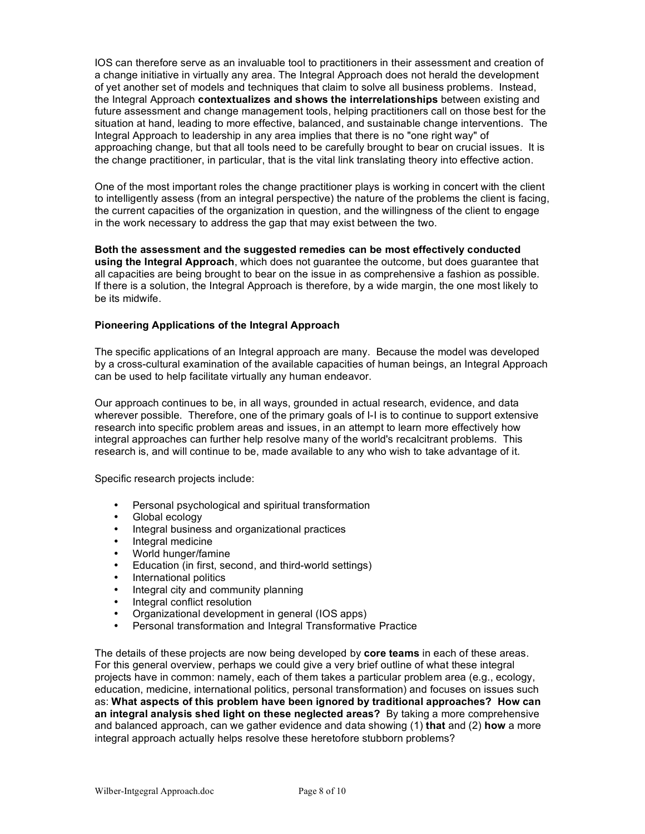IOS can therefore serve as an invaluable tool to practitioners in their assessment and creation of a change initiative in virtually any area. The Integral Approach does not herald the development of yet another set of models and techniques that claim to solve all business problems. Instead, the Integral Approach **contextualizes and shows the interrelationships** between existing and future assessment and change management tools, helping practitioners call on those best for the situation at hand, leading to more effective, balanced, and sustainable change interventions. The Integral Approach to leadership in any area implies that there is no "one right way" of approaching change, but that all tools need to be carefully brought to bear on crucial issues. It is the change practitioner, in particular, that is the vital link translating theory into effective action.

One of the most important roles the change practitioner plays is working in concert with the client to intelligently assess (from an integral perspective) the nature of the problems the client is facing, the current capacities of the organization in question, and the willingness of the client to engage in the work necessary to address the gap that may exist between the two.

**Both the assessment and the suggested remedies can be most effectively conducted using the Integral Approach**, which does not guarantee the outcome, but does guarantee that all capacities are being brought to bear on the issue in as comprehensive a fashion as possible. If there is a solution, the Integral Approach is therefore, by a wide margin, the one most likely to be its midwife.

# **Pioneering Applications of the Integral Approach**

The specific applications of an Integral approach are many. Because the model was developed by a cross-cultural examination of the available capacities of human beings, an Integral Approach can be used to help facilitate virtually any human endeavor.

Our approach continues to be, in all ways, grounded in actual research, evidence, and data wherever possible. Therefore, one of the primary goals of I-I is to continue to support extensive research into specific problem areas and issues, in an attempt to learn more effectively how integral approaches can further help resolve many of the world's recalcitrant problems. This research is, and will continue to be, made available to any who wish to take advantage of it.

Specific research projects include:

- Personal psychological and spiritual transformation
- Global ecology
- Integral business and organizational practices
- Integral medicine
- World hunger/famine
- Education (in first, second, and third-world settings)
- International politics<br>• Integral city and com
- Integral city and community planning<br>• Integral conflict resolution
- Integral conflict resolution
- Organizational development in general (IOS apps)
- Personal transformation and Integral Transformative Practice

The details of these projects are now being developed by **core teams** in each of these areas. For this general overview, perhaps we could give a very brief outline of what these integral projects have in common: namely, each of them takes a particular problem area (e.g., ecology, education, medicine, international politics, personal transformation) and focuses on issues such as: **What aspects of this problem have been ignored by traditional approaches? How can an integral analysis shed light on these neglected areas?** By taking a more comprehensive and balanced approach, can we gather evidence and data showing (1) **that** and (2) **how** a more integral approach actually helps resolve these heretofore stubborn problems?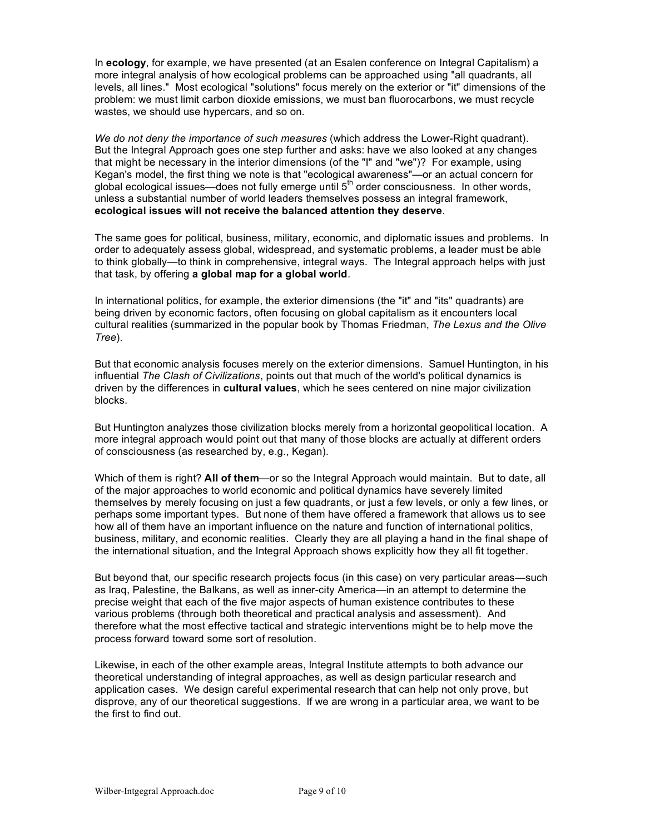In **ecology**, for example, we have presented (at an Esalen conference on Integral Capitalism) a more integral analysis of how ecological problems can be approached using "all quadrants, all levels, all lines." Most ecological "solutions" focus merely on the exterior or "it" dimensions of the problem: we must limit carbon dioxide emissions, we must ban fluorocarbons, we must recycle wastes, we should use hypercars, and so on.

*We do not deny the importance of such measures* (which address the Lower-Right quadrant). But the Integral Approach goes one step further and asks: have we also looked at any changes that might be necessary in the interior dimensions (of the "I" and "we")? For example, using Kegan's model, the first thing we note is that "ecological awareness"—or an actual concern for global ecological issues—does not fully emerge until  $5<sup>th</sup>$  order consciousness. In other words, unless a substantial number of world leaders themselves possess an integral framework, **ecological issues will not receive the balanced attention they deserve**.

The same goes for political, business, military, economic, and diplomatic issues and problems. In order to adequately assess global, widespread, and systematic problems, a leader must be able to think globally—to think in comprehensive, integral ways. The Integral approach helps with just that task, by offering **a global map for a global world**.

In international politics, for example, the exterior dimensions (the "it" and "its" quadrants) are being driven by economic factors, often focusing on global capitalism as it encounters local cultural realities (summarized in the popular book by Thomas Friedman, *The Lexus and the Olive Tree*).

But that economic analysis focuses merely on the exterior dimensions. Samuel Huntington, in his influential *The Clash of Civilizations*, points out that much of the world's political dynamics is driven by the differences in **cultural values**, which he sees centered on nine major civilization blocks.

But Huntington analyzes those civilization blocks merely from a horizontal geopolitical location. A more integral approach would point out that many of those blocks are actually at different orders of consciousness (as researched by, e.g., Kegan).

Which of them is right? **All of them**—or so the Integral Approach would maintain. But to date, all of the major approaches to world economic and political dynamics have severely limited themselves by merely focusing on just a few quadrants, or just a few levels, or only a few lines, or perhaps some important types. But none of them have offered a framework that allows us to see how all of them have an important influence on the nature and function of international politics, business, military, and economic realities. Clearly they are all playing a hand in the final shape of the international situation, and the Integral Approach shows explicitly how they all fit together.

But beyond that, our specific research projects focus (in this case) on very particular areas—such as Iraq, Palestine, the Balkans, as well as inner-city America—in an attempt to determine the precise weight that each of the five major aspects of human existence contributes to these various problems (through both theoretical and practical analysis and assessment). And therefore what the most effective tactical and strategic interventions might be to help move the process forward toward some sort of resolution.

Likewise, in each of the other example areas, Integral Institute attempts to both advance our theoretical understanding of integral approaches, as well as design particular research and application cases. We design careful experimental research that can help not only prove, but disprove, any of our theoretical suggestions. If we are wrong in a particular area, we want to be the first to find out.